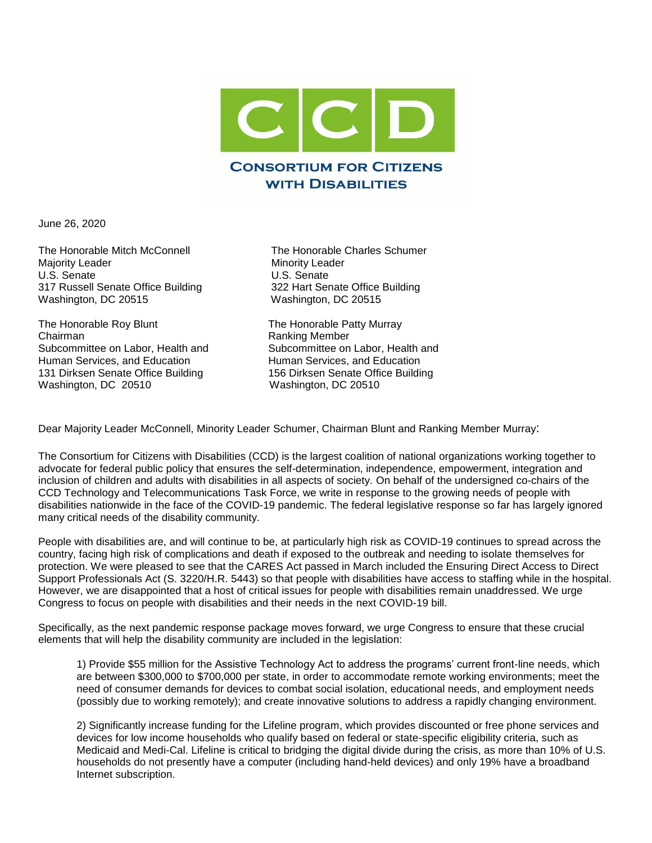

June 26, 2020

The Honorable Mitch McConnell The Honorable Charles Schumer Majority Leader Minority Leader<br>
U.S. Senate U.S. Senate 317 Russell Senate Office Building 322 Hart Senate Office Building Washington, DC 20515 Washington, DC 20515

The Honorable Roy Blunt The Honorable Patty Murray Chairman **Chairman** Ranking Member Subcommittee on Labor, Health and Subcommittee on Labor, Health and Human Services, and Education Human Services, and Education 131 Dirksen Senate Office Building 156 Dirksen Senate Office Building Washington, DC 20510 Washington, DC 20510

U.S. Senate

Dear Majority Leader McConnell, Minority Leader Schumer, Chairman Blunt and Ranking Member Murray:

The Consortium for Citizens with Disabilities (CCD) is the largest coalition of national organizations working together to advocate for federal public policy that ensures the self-determination, independence, empowerment, integration and inclusion of children and adults with disabilities in all aspects of society. On behalf of the undersigned co-chairs of the CCD Technology and Telecommunications Task Force, we write in response to the growing needs of people with disabilities nationwide in the face of the COVID-19 pandemic. The federal legislative response so far has largely ignored many critical needs of the disability community.

People with disabilities are, and will continue to be, at particularly high risk as COVID-19 continues to spread across the country, facing high risk of complications and death if exposed to the outbreak and needing to isolate themselves for protection. We were pleased to see that the CARES Act passed in March included the Ensuring Direct Access to Direct Support Professionals Act (S. 3220/H.R. 5443) so that people with disabilities have access to staffing while in the hospital. However, we are disappointed that a host of critical issues for people with disabilities remain unaddressed. We urge Congress to focus on people with disabilities and their needs in the next COVID-19 bill.

Specifically, as the next pandemic response package moves forward, we urge Congress to ensure that these crucial elements that will help the disability community are included in the legislation:

1) Provide \$55 million for the Assistive Technology Act to address the programs' current front-line needs, which are between \$300,000 to \$700,000 per state, in order to accommodate remote working environments; meet the need of consumer demands for devices to combat social isolation, educational needs, and employment needs (possibly due to working remotely); and create innovative solutions to address a rapidly changing environment.

2) Significantly increase funding for the Lifeline program, which provides discounted or free phone services and devices for low income households who qualify based on federal or state-specific eligibility criteria, such as Medicaid and Medi-Cal. Lifeline is critical to bridging the digital divide during the crisis, as more than 10% of U.S. households do not presently have a computer (including hand-held devices) and only 19% have a broadband Internet subscription.